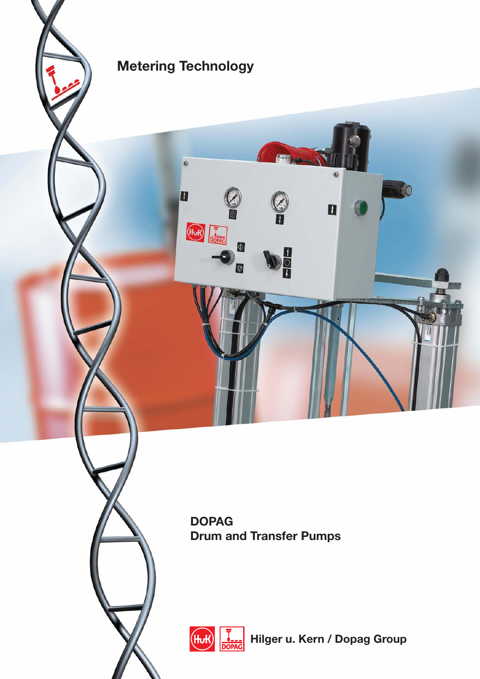

 $\bullet$ 

O

 $H_{\text{L}}$ 

 $\circ$ 

O

**DOPAG Drum and Transfer Pumps**

Part Avenue

**OCO** 

 $\blacksquare$ 

 $\bigcirc$ 

10



**Hilger u. Kern / Dopag Group**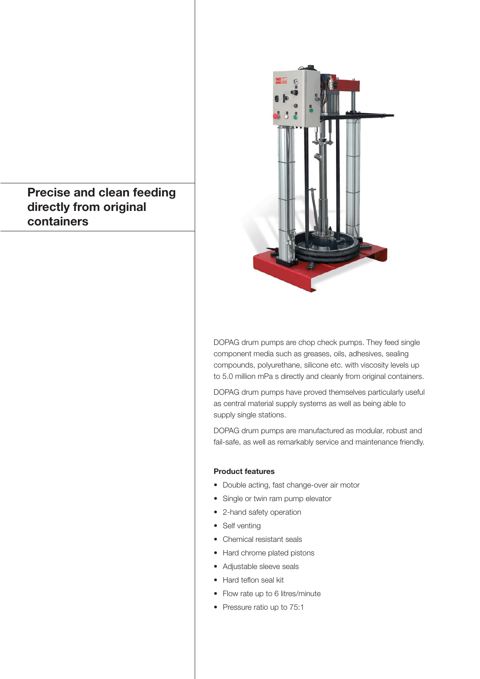## **Precise and clean feeding directly from original containers**



DOPAG drum pumps are chop check pumps. They feed single component media such as greases, oils, adhesives, sealing compounds, polyurethane, silicone etc. with viscosity levels up to 5.0 million mPa s directly and cleanly from original containers.

DOPAG drum pumps have proved themselves particularly useful as central material supply systems as well as being able to supply single stations.

DOPAG drum pumps are manufactured as modular, robust and fail-safe, as well as remarkably service and maintenance friendly.

### **Product features**

- Double acting, fast change-over air motor
- Single or twin ram pump elevator
- 2-hand safety operation
- Self venting
- Chemical resistant seals
- Hard chrome plated pistons
- Adjustable sleeve seals
- Hard teflon seal kit
- Flow rate up to 6 litres/minute
- Pressure ratio up to 75:1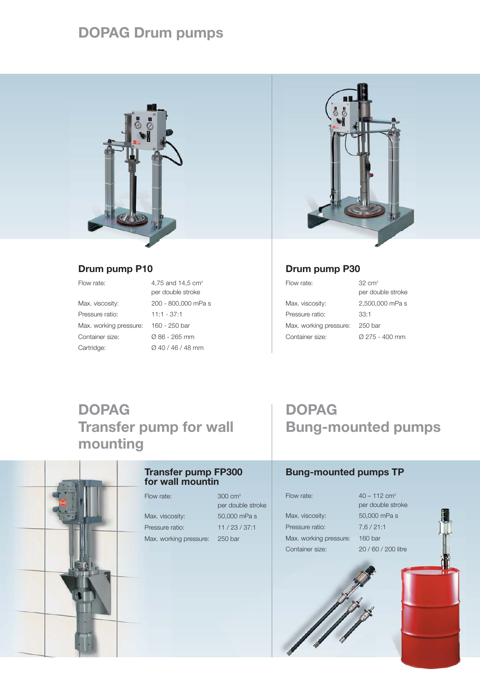# **DOPAG Drum pumps**



### **Drum pump P10**

| Flow rate:           |
|----------------------|
| Max. viscosity:      |
| Pressure ratio:      |
| Max. working pressur |
|                      |

4,75 and 14,5  $cm<sup>3</sup>$ per double stroke 200 - 800,000 mPa s  $11:1 - 37:1$ me: 160 - 250 bar Container size: Ø 86 - 265 mm Cartridge: Ø 40 / 46 / 48 mm



## **Drum pump P30**

Flow rate: 32 cm<sup>3</sup> Max. viscosity: 2,500,000 mPa s Pressure ratio: 33:1 Max. working pressure: 250 bar Container size: Ø 275 - 400 mm

per double stroke

# **DOPAG Transfer pump for wall mounting**



### **Transfer pump FP300 for wall mountin**

Flow rate: 300 cm<sup>3</sup>

Max. viscosity: 50,000 mPa s Pressure ratio: 11 / 23 / 37:1 Max. working pressure: 250 bar

per double stroke

# **DOPAG Bung-mounted pumps**

## **Bung-mounted pumps TP**

Max. viscosity: 50,000 mPa s Pressure ratio: 7,6 / 21:1 Max. working pressure: 160 bar Container size: 20 / 60 / 200 litre

Flow rate:  $40 - 112$  cm<sup>3</sup> per double stroke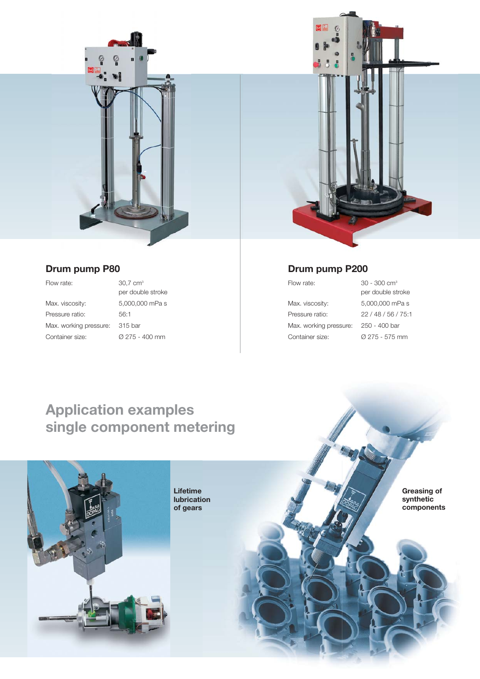

### **Drum pump P80**

Flow rate: 30.7 cm<sup>3</sup>

Max. viscosity: 5,000,000 mPa s Pressure ratio: 56:1 Max. working pressure: 315 bar Container size: Ø 275 - 400 mm

per double stroke



## **Drum pump P200**

Max. viscosity: 5,000,000 mPa s Pressure ratio: 22 / 48 / 56 / 75:1 Max. working pressure: 250 - 400 bar Container size: Ø 275 - 575 mm

Flow rate: 30 - 300 cm3 per double stroke

# **Application examples single component metering**



**Lifetime lubrication of gears**

**Greasing of synthetic components**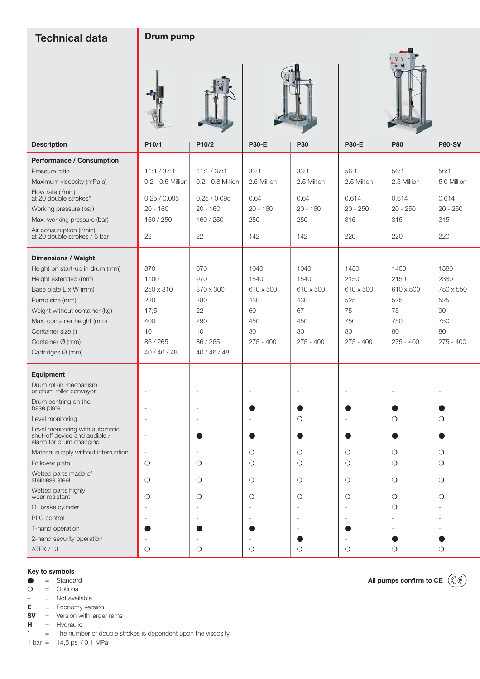| <b>Technical data</b>                                                                                                                                                                                                                                                                                                                                                                                                                        | Drum pump                                                                         |                                                                                   |                                                                    |                                                                    |                                                                    |                                                                    |                                                                    |  |  |
|----------------------------------------------------------------------------------------------------------------------------------------------------------------------------------------------------------------------------------------------------------------------------------------------------------------------------------------------------------------------------------------------------------------------------------------------|-----------------------------------------------------------------------------------|-----------------------------------------------------------------------------------|--------------------------------------------------------------------|--------------------------------------------------------------------|--------------------------------------------------------------------|--------------------------------------------------------------------|--------------------------------------------------------------------|--|--|
| <b>Description</b>                                                                                                                                                                                                                                                                                                                                                                                                                           | P10/1                                                                             | P10/2                                                                             | <b>P30-E</b>                                                       | <b>P30</b>                                                         | <b>P80-E</b>                                                       | <b>P80</b><br><b>P80-SV</b>                                        |                                                                    |  |  |
| <b>Performance / Consumption</b><br>Pressure ratio<br>Maximum viscosity (mPa s)<br>Flow rate (I/min)<br>at 20 double strokes*<br>Working pressure (bar)<br>Max. working pressure (bar)<br>Air consumption (I/min)<br>at 20 double strokes / 6 bar                                                                                                                                                                                            | 11:1 / 37:1<br>0.2 - 0.5 Million<br>0.25 / 0.095<br>$20 - 160$<br>160 / 250<br>22 | 11:1 / 37:1<br>0.2 - 0.8 Million<br>0.25 / 0.095<br>$20 - 160$<br>160 / 250<br>22 | 33:1<br>2.5 Million<br>0.64<br>$20 - 160$<br>250<br>142            | 33:1<br>2.5 Million<br>0.64<br>$20 - 160$<br>250<br>142            | 56:1<br>2.5 Million<br>0.614<br>$20 - 250$<br>315<br>220           | 56:1<br>2.5 Million<br>0.614<br>$20 - 250$<br>315<br>220           | 56:1<br>5.0 Million<br>0.614<br>$20 - 250$<br>315<br>220           |  |  |
| <b>Dimensions / Weight</b><br>Height on start-up in drum (mm)<br>Height extended (mm)<br>Base plate L x W (mm)<br>Pump size (mm)<br>Weight without container (kg)<br>Max. container height (mm)<br>Container size (I)<br>Container Ø (mm)<br>Cartridges Ø (mm)                                                                                                                                                                               | 870<br>1100<br>250 x 310<br>280<br>17,5<br>400<br>10<br>86 / 265<br>40 / 46 / 48  | 670<br>970<br>370 x 300<br>280<br>22<br>290<br>10<br>86 / 265<br>40 / 46 / 48     | 1040<br>1540<br>610 x 500<br>430<br>60<br>450<br>30<br>$275 - 400$ | 1040<br>1540<br>610 x 500<br>430<br>67<br>450<br>30<br>$275 - 400$ | 1450<br>2150<br>610 x 500<br>525<br>75<br>750<br>80<br>$275 - 400$ | 1450<br>2150<br>610 x 500<br>525<br>75<br>750<br>80<br>$275 - 400$ | 1580<br>2380<br>750 x 550<br>525<br>90<br>750<br>80<br>$275 - 400$ |  |  |
| <b>Equipment</b><br>Drum roll-in mechanism<br>or drum roller conveyor<br>Drum centring on the<br>base plate<br>Level monitoring<br>Level monitoring with automatic<br>shut-off device and audible /<br>alarm for drum changing<br>Material supply without interruption<br>Follower plate<br>Wetted parts made of<br>stainless steel<br>Wetted parts highly<br>wear resistant<br>Oil brake cylinder<br><b>PLC</b> control<br>1-hand operation | $\circ$<br>$\circ$<br>$\circ$                                                     | $\circ$<br>$\circ$<br>$\circ$                                                     | $\circ$<br>О<br>$\circ$<br>$\circ$                                 | $\circ$<br>$\circ$<br>$\circ$<br>$\circ$<br>$\circ$                | О<br>О<br>$\circ$<br>О                                             | $\circ$<br>$\circ$<br>$\circ$<br>$\circ$<br>$\circ$<br>$\circ$     | $\circ$<br>$\circ$<br>$\circ$<br>$\circ$<br>$\circ$                |  |  |
| 2-hand security operation<br>ATEX / UL                                                                                                                                                                                                                                                                                                                                                                                                       | $\circ$                                                                           | $\circ$                                                                           | $\circ$                                                            | $\circ$                                                            | $\circ$                                                            | $\circ$                                                            | $\circ$                                                            |  |  |

# **Key to symbols**<br> **e** = Standa

 $\begin{array}{ccc}\n\bullet & = & \text{Standard} \\
\bullet & = & \text{Optional}\n\end{array}$ 

❍ = Optional

– = Not available

**E** = Economy version

**SV** = Version with larger rams

**H** = Hydraulic

\* = The number of double strokes is dependent upon the viscosity

1 bar = 14,5 psi / 0,1 MPa

**All pumps confirm to CE**

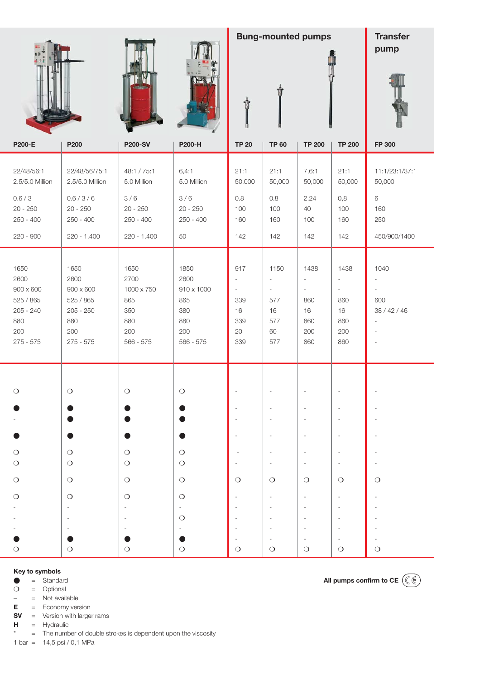|                                                                                           |                                                                                           |                                                                     | <b>Bung-mounted pumps</b><br>Û                                      |                                                                                              |                                                                                               |                                                                              | <b>Transfer</b><br>pump                                                                        |                                                                                                                           |
|-------------------------------------------------------------------------------------------|-------------------------------------------------------------------------------------------|---------------------------------------------------------------------|---------------------------------------------------------------------|----------------------------------------------------------------------------------------------|-----------------------------------------------------------------------------------------------|------------------------------------------------------------------------------|------------------------------------------------------------------------------------------------|---------------------------------------------------------------------------------------------------------------------------|
| <b>P200-E</b>                                                                             | P200                                                                                      | <b>P200-SV</b>                                                      | P200-H                                                              | <b>TP 20</b>                                                                                 | <b>TP 60</b>                                                                                  | <b>TP 200</b>                                                                | <b>TP 200</b>                                                                                  | FP 300                                                                                                                    |
| 22/48/56:1<br>2.5/5.0 Million<br>0.6 / 3<br>$20 - 250$<br>$250 - 400$                     | 22/48/56/75:1<br>2.5/5.0 Million<br>0.6 / 3 / 6<br>$20 - 250$<br>$250 - 400$              | 48:1 / 75:1<br>5.0 Million<br>3/6<br>$20 - 250$<br>$250 - 400$      | 6,4:1<br>5.0 Million<br>3/6<br>$20 - 250$<br>$250 - 400$            | 21:1<br>50,000<br>0.8<br>100<br>160                                                          | 21:1<br>50,000<br>0.8<br>100<br>160                                                           | 7,6:1<br>50,000<br>2.24<br>40<br>100                                         | 21:1<br>50,000<br>0,8<br>100<br>160                                                            | 11:1/23:1/37:1<br>50,000<br>6<br>160<br>250                                                                               |
| 220 - 900                                                                                 | 220 - 1.400                                                                               | 220 - 1.400                                                         | 50                                                                  | 142                                                                                          | 142                                                                                           | 142                                                                          | 142                                                                                            | 450/900/1400                                                                                                              |
| 1650<br>2600<br>$900 \times 600$<br>525 / 865<br>$205 - 240$<br>880<br>200<br>$275 - 575$ | 1650<br>2600<br>$900 \times 600$<br>525 / 865<br>$205 - 250$<br>880<br>200<br>$275 - 575$ | 1650<br>2700<br>1000 x 750<br>865<br>350<br>880<br>200<br>566 - 575 | 1850<br>2600<br>910 x 1000<br>865<br>380<br>880<br>200<br>566 - 575 | 917<br>$\overline{\phantom{a}}$<br>$\overline{\phantom{a}}$<br>339<br>16<br>339<br>20<br>339 | 1150<br>$\overline{\phantom{a}}$<br>$\overline{\phantom{a}}$<br>577<br>16<br>577<br>60<br>577 | 1438<br>$\overline{\phantom{a}}$<br>$\sim$<br>860<br>16<br>860<br>200<br>860 | 1438<br>$\overline{\phantom{a}}$<br>$\overline{\phantom{a}}$<br>860<br>16<br>860<br>200<br>860 | 1040<br>$\overline{\phantom{a}}$<br>$\overline{\phantom{a}}$<br>600<br>38 / 42 / 46<br>$\sim$<br>$\overline{\phantom{a}}$ |
| $\bigcirc$                                                                                | $\bigcirc$                                                                                | $\bigcirc$                                                          | $\bigcirc$                                                          |                                                                                              |                                                                                               |                                                                              | $\overline{a}$                                                                                 |                                                                                                                           |
|                                                                                           | O                                                                                         | ●                                                                   | $\bullet$                                                           |                                                                                              | $\overline{\phantom{a}}$                                                                      |                                                                              | ÷,                                                                                             |                                                                                                                           |
| $\bigcirc$<br>$\bigcirc$                                                                  | $\bigcirc$<br>$\bigcirc$                                                                  | $\bigcirc$<br>$\bigcirc$                                            | $\bigcirc$<br>$\bigcirc$                                            |                                                                                              | $\overline{\phantom{a}}$<br>$\overline{\phantom{a}}$                                          | $\overline{a}$<br>$\overline{\phantom{a}}$                                   | $\overline{\phantom{a}}$<br>$\overline{\phantom{a}}$                                           |                                                                                                                           |
| $\bigcirc$                                                                                | $\bigcirc$                                                                                | $\bigcirc$                                                          | $\bigcirc$                                                          | $\circ$                                                                                      | $\bigcirc$                                                                                    | $\bigcirc$                                                                   | $\circ$                                                                                        | $\circ$                                                                                                                   |
| $\circ$                                                                                   | $\bigcirc$                                                                                | $\bigcirc$                                                          | $\circ$<br>$\overline{\phantom{a}}$                                 |                                                                                              |                                                                                               |                                                                              | $\frac{1}{2}$<br>$\overline{\phantom{a}}$                                                      |                                                                                                                           |
| $\circ$                                                                                   | $\circ$                                                                                   | $\bigcirc$                                                          | $\circ$<br>$\bigcirc$                                               | $\circ$                                                                                      | $\overline{\phantom{a}}$<br>$\circ$                                                           | $\overline{\phantom{a}}$<br>$\circ$                                          | $\overline{\phantom{a}}$<br>$\overline{a}$<br>$\overline{\phantom{a}}$<br>$\circ$              | $\circ$                                                                                                                   |

### **Key to symbols**

 $\begin{array}{ccc}\n\bullet & = & \text{Standard} \\
\bullet & = & \text{Optional}\n\end{array}$ 

❍ = Optional

– = Not available

**E** = Economy version **SV** = Version with larger rams

**H** = Hydraulic

\* = The number of double strokes is dependent upon the viscosity

1 bar = 14,5 psi / 0,1 MPa

**All pumps confirm to CE**

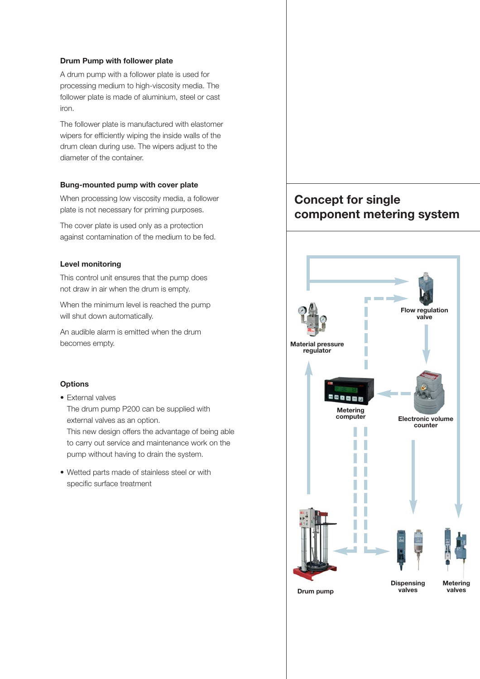#### **Drum Pump with follower plate**

A drum pump with a follower plate is used for processing medium to high-viscosity media. The follower plate is made of aluminium, steel or cast iron.

The follower plate is manufactured with elastomer wipers for efficiently wiping the inside walls of the drum clean during use. The wipers adjust to the diameter of the container.

#### **Bung-mounted pump with cover plate**

When processing low viscosity media, a follower plate is not necessary for priming purposes.

The cover plate is used only as a protection against contamination of the medium to be fed.

#### **Level monitoring**

This control unit ensures that the pump does not draw in air when the drum is empty.

When the minimum level is reached the pump will shut down automatically.

An audible alarm is emitted when the drum becomes empty.

#### **Options**

- External valves The drum pump P200 can be supplied with external valves as an option. This new design offers the advantage of being able to carry out service and maintenance work on the pump without having to drain the system.
- Wetted parts made of stainless steel or with specific surface treatment

## **Concept for single component metering system**